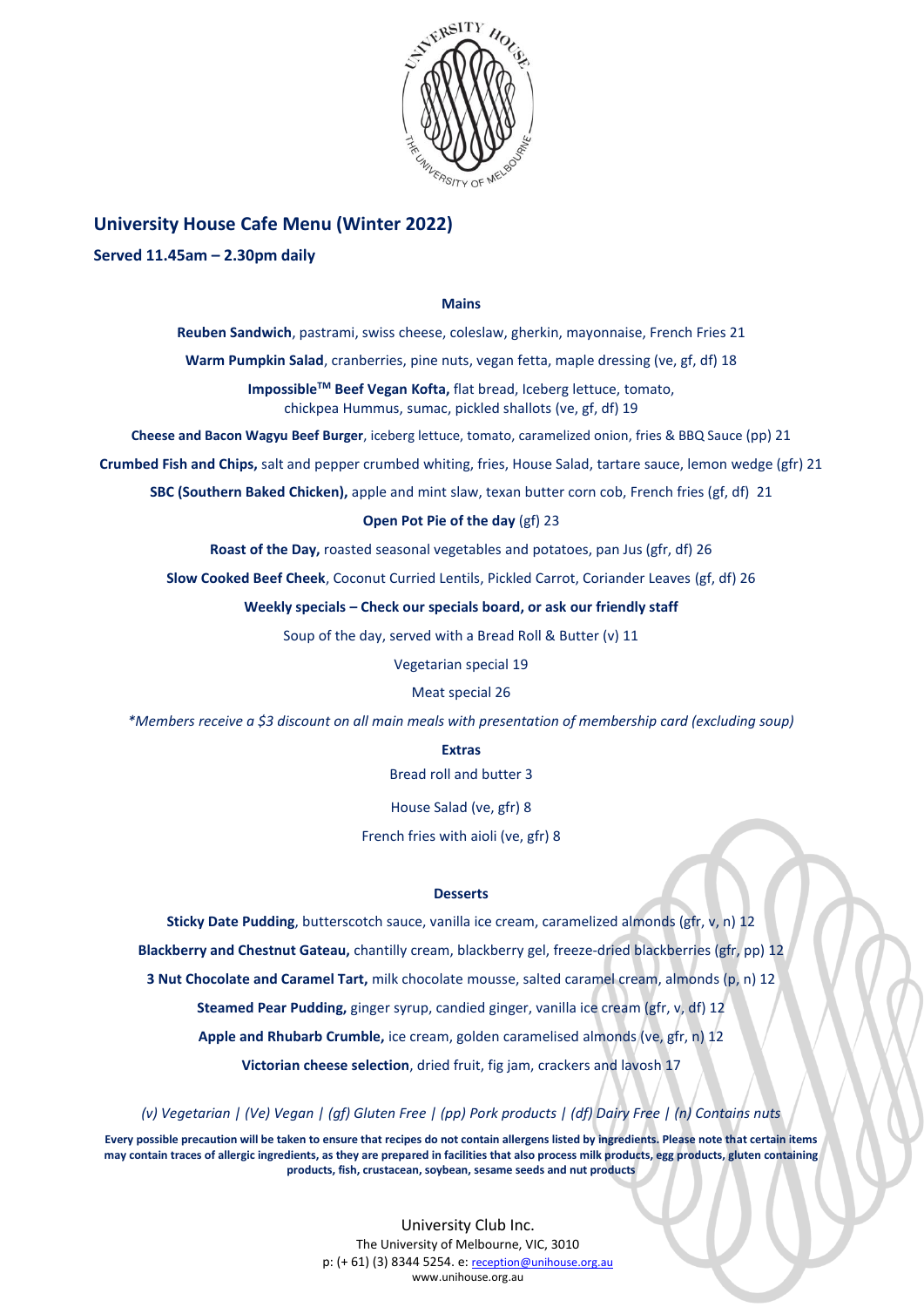

# **University House Cafe Menu (Winter 2022)**

## **Served 11.45am – 2.30pm daily**

#### **Mains**

**Reuben Sandwich**, pastrami, swiss cheese, coleslaw, gherkin, mayonnaise, French Fries 21

**Warm Pumpkin Salad**, cranberries, pine nuts, vegan fetta, maple dressing (ve, gf, df) 18

**ImpossibleTM Beef Vegan Kofta,** flat bread, Iceberg lettuce, tomato, chickpea Hummus, sumac, pickled shallots (ve, gf, df) 19

**Cheese and Bacon Wagyu Beef Burger**, iceberg lettuce, tomato, caramelized onion, fries & BBQ Sauce (pp) 21

**Crumbed Fish and Chips,** salt and pepper crumbed whiting, fries, House Salad, tartare sauce, lemon wedge (gfr) 21

**SBC (Southern Baked Chicken),** apple and mint slaw, texan butter corn cob, French fries (gf, df) 21

#### **Open Pot Pie of the day** (gf) 23

**Roast of the Day,** roasted seasonal vegetables and potatoes, pan Jus (gfr, df) 26

**Slow Cooked Beef Cheek**, Coconut Curried Lentils, Pickled Carrot, Coriander Leaves (gf, df) 26

**Weekly specials – Check our specials board, or ask our friendly staff**

Soup of the day, served with a Bread Roll & Butter (v) 11

Vegetarian special 19

### Meat special 26

*\*Members receive a \$3 discount on all main meals with presentation of membership card (excluding soup)*

### **Extras**

Bread roll and butter 3

House Salad (ve, gfr) 8

French fries with aioli (ve, gfr) 8

#### **Desserts**

**Sticky Date Pudding**, butterscotch sauce, vanilla ice cream, caramelized almonds (gfr, v, n) 12 **Blackberry and Chestnut Gateau,** chantilly cream, blackberry gel, freeze-dried blackberries (gfr, pp) 12 **3 Nut Chocolate and Caramel Tart,** milk chocolate mousse, salted caramel cream, almonds (p, n) 12 **Steamed Pear Pudding,** ginger syrup, candied ginger, vanilla ice cream (gfr, v, df) 12 **Apple and Rhubarb Crumble,** ice cream, golden caramelised almonds (ve, gfr, n) 12

**Victorian cheese selection**, dried fruit, fig jam, crackers and lavosh 17

*(v) Vegetarian | (Ve) Vegan | (gf) Gluten Free | (pp) Pork products | (df) Dairy Free | (n) Contains nuts*

**Every possible precaution will be taken to ensure that recipes do not contain allergens listed by ingredients. Please note that certain items may contain traces of allergic ingredients, as they are prepared in facilities that also process milk products, egg products, gluten containing products, fish, crustacean, soybean, sesame seeds and nut products**

> University Club Inc. The University of Melbourne, VIC, 3010 p: (+ 61) (3) 8344 5254. e: [reception@unihouse.org.au](mailto:reception@unihouse.org.au) www.unihouse.org.au